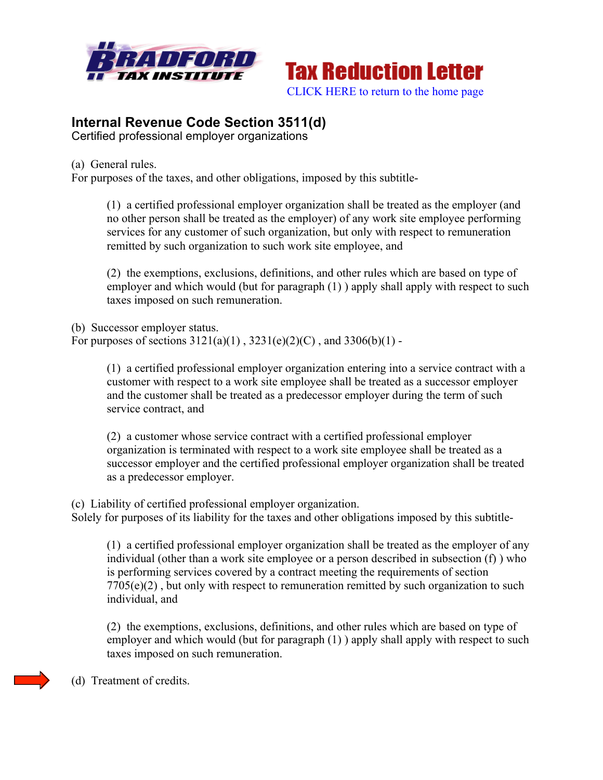



## **Internal Revenue Code Section 3511(d)**

Certified professional employer organizations

(a) General rules.

For purposes of the taxes, and other obligations, imposed by this subtitle-

(1) a certified professional employer organization shall be treated as the employer (and no other person shall be treated as the employer) of any work site employee performing services for any customer of such organization, but only with respect to remuneration remitted by such organization to such work site employee, and

(2) the exemptions, exclusions, definitions, and other rules which are based on type of employer and which would (but for paragraph  $(1)$ ) apply shall apply with respect to such taxes imposed on such remuneration.

(b) Successor employer status. For purposes of sections  $3121(a)(1)$ ,  $3231(e)(2)(C)$ , and  $3306(b)(1)$ .

> (1) a certified professional employer organization entering into a service contract with a customer with respect to a work site employee shall be treated as a successor employer and the customer shall be treated as a predecessor employer during the term of such service contract, and

> (2) a customer whose service contract with a certified professional employer organization is terminated with respect to a work site employee shall be treated as a successor employer and the certified professional employer organization shall be treated as a predecessor employer.

(c) Liability of certified professional employer organization. Solely for purposes of its liability for the taxes and other obligations imposed by this subtitle-

(1) a certified professional employer organization shall be treated as the employer of any individual (other than a work site employee or a person described in subsection (f) ) who is performing services covered by a contract meeting the requirements of section  $7705(e)(2)$ , but only with respect to remuneration remitted by such organization to such individual, and

(2) the exemptions, exclusions, definitions, and other rules which are based on type of employer and which would (but for paragraph  $(1)$ ) apply shall apply with respect to such taxes imposed on such remuneration.

(d) Treatment of credits.